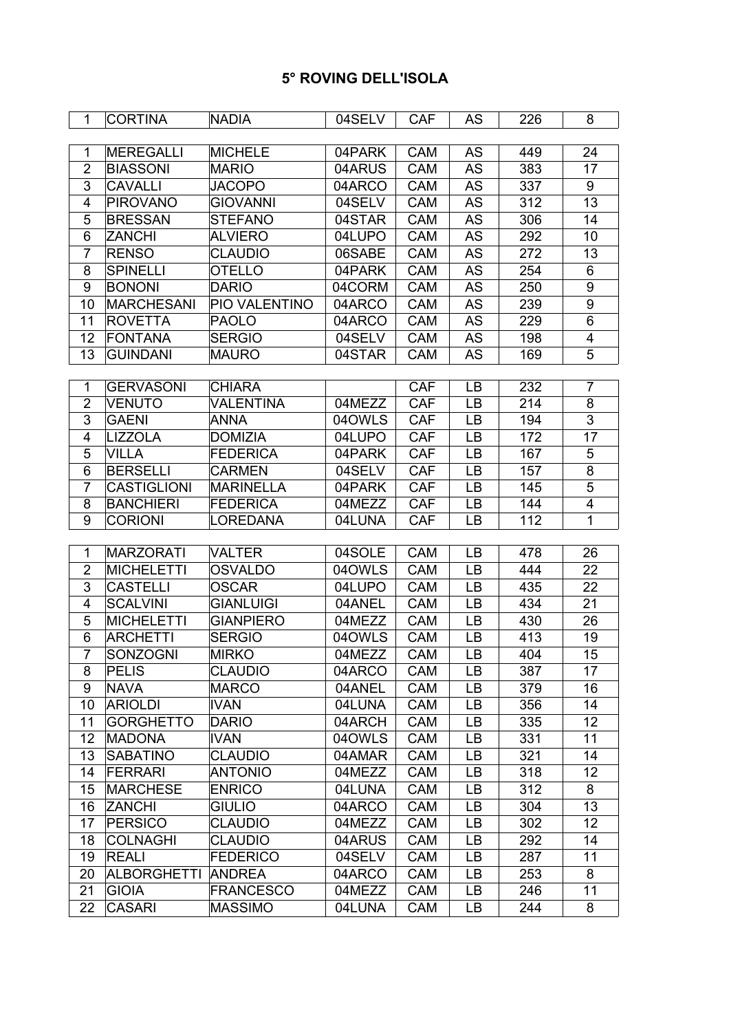| $\mathbf{1}$    | <b>CORTINA</b>     | <b>NADIA</b>     | 04SELV | <b>CAF</b> | AS        | 226              | 8                       |
|-----------------|--------------------|------------------|--------|------------|-----------|------------------|-------------------------|
|                 |                    |                  |        |            |           |                  |                         |
| $\mathbf{1}$    | <b>MEREGALLI</b>   | <b>MICHELE</b>   | 04PARK | <b>CAM</b> | AS        | 449              | 24                      |
| $\overline{2}$  | <b>BIASSONI</b>    | <b>MARIO</b>     | 04ARUS | CAM        | <b>AS</b> | 383              | 17                      |
| 3               | <b>CAVALLI</b>     | <b>JACOPO</b>    | 04ARCO | CAM        | <b>AS</b> | 337              | 9                       |
| 4               | <b>PIROVANO</b>    | <b>GIOVANNI</b>  | 04SELV | <b>CAM</b> | <b>AS</b> | 312              | 13                      |
| 5               | <b>BRESSAN</b>     | <b>STEFANO</b>   | 04STAR | CAM        | <b>AS</b> | 306              | 14                      |
| 6               | <b>ZANCHI</b>      | ALVIERO          | 04LUPO | CAM        | AS        | 292              | 10                      |
| 7               | <b>RENSO</b>       | <b>CLAUDIO</b>   | 06SABE | <b>CAM</b> | AS        | 272              | 13                      |
| 8               | <b>SPINELLI</b>    | <b>OTELLO</b>    | 04PARK | CAM        | <b>AS</b> | 254              | 6                       |
| 9               | <b>BONONI</b>      | <b>DARIO</b>     | 04CORM | CAM        | AS        | 250              | $\boldsymbol{9}$        |
| 10              | <b>MARCHESANI</b>  | PIO VALENTINO    | 04ARCO | CAM        | <b>AS</b> | 239              | $\overline{9}$          |
| 11              | <b>ROVETTA</b>     | <b>PAOLO</b>     | 04ARCO | CAM        | AS        | 229              | 6                       |
| 12              | <b>FONTANA</b>     | <b>SERGIO</b>    | 04SELV | CAM        | <b>AS</b> | 198              | $\overline{\mathbf{4}}$ |
| 13              | <b>GUINDANI</b>    | <b>MAURO</b>     | 04STAR | CAM        | <b>AS</b> | 169              | 5                       |
|                 |                    |                  |        |            |           |                  |                         |
| 1               | <b>GERVASONI</b>   | <b>CHIARA</b>    |        | <b>CAF</b> | LB        | 232              | $\overline{7}$          |
| $\overline{2}$  | <b>VENUTO</b>      | <b>VALENTINA</b> | 04MEZZ | <b>CAF</b> | <b>LB</b> | 214              | $\overline{8}$          |
| 3               | <b>GAENI</b>       | <b>ANNA</b>      | 04OWLS | <b>CAF</b> | LB        | 194              | 3                       |
| 4               | <b>LIZZOLA</b>     | <b>DOMIZIA</b>   | 04LUPO | <b>CAF</b> | <b>LB</b> | 172              | 17                      |
| 5               | <b>VILLA</b>       | <b>FEDERICA</b>  | 04PARK | <b>CAF</b> | <b>LB</b> | 167              | 5                       |
| 6               | <b>BERSELLI</b>    | <b>CARMEN</b>    | 04SELV | <b>CAF</b> | LB        | 157              | 8                       |
| $\overline{7}$  | <b>CASTIGLIONI</b> | <b>MARINELLA</b> | 04PARK | <b>CAF</b> | <b>LB</b> | 145              | 5                       |
| 8               | <b>BANCHIERI</b>   | <b>FEDERICA</b>  | 04MEZZ | <b>CAF</b> | <b>LB</b> | 144              | 4                       |
| 9               | <b>CORIONI</b>     | LOREDANA         | 04LUNA | <b>CAF</b> | LB        | $\overline{112}$ | $\overline{1}$          |
|                 |                    |                  |        |            |           |                  |                         |
| 1               | MARZORATI          | <b>VALTER</b>    | 04SOLE | CAM        | LB        | 478              | 26                      |
| $\overline{2}$  | <b>MICHELETTI</b>  | <b>OSVALDO</b>   | 04OWLS | <b>CAM</b> | LB        | 444              | 22                      |
| 3               | <b>CASTELLI</b>    | <b>OSCAR</b>     | 04LUPO | CAM        | <b>LB</b> | 435              | 22                      |
| 4               | <b>SCALVINI</b>    | <b>GIANLUIGI</b> | 04ANEL | CAM        | LB        | 434              | 21                      |
| 5               | <b>MICHELETTI</b>  | <b>GIANPIERO</b> | 04MEZZ | CAM        | LB        | 430              | 26                      |
| 6               | <b>ARCHETTI</b>    | <b>SERGIO</b>    | 04OWLS | CAM        | LB        | 413              | 19                      |
| $\overline{7}$  | <b>SONZOGNI</b>    | <b>MIRKO</b>     | 04MEZZ | <b>CAM</b> | LB        | 404              | 15                      |
| 8               | <b>PELIS</b>       | <b>CLAUDIO</b>   | 04ARCO | CAM        | LB        | 387              | 17                      |
| 9               | <b>NAVA</b>        | <b>MARCO</b>     | 04ANEL | <b>CAM</b> | LB        | 379              | 16                      |
| 10              | <b>ARIOLDI</b>     | <b>IVAN</b>      | 04LUNA | CAM        | LB        | 356              | 14                      |
| 11              | <b>GORGHETTO</b>   | <b>DARIO</b>     | 04ARCH | CAM        | LB        | 335              | 12                      |
| 12 <sub>2</sub> | MADONA             | <b>IVAN</b>      | 04OWLS | <b>CAM</b> | LB        | 331              | 11                      |
| 13              | <b>SABATINO</b>    | <b>CLAUDIO</b>   | 04AMAR | CAM        | <b>LB</b> | 321              | 14                      |
| 14              | FERRARI            | <b>ANTONIO</b>   | 04MEZZ | CAM        | LB        | 318              | 12                      |
| 15              | <b>MARCHESE</b>    | <b>ENRICO</b>    | 04LUNA | CAM        | LB        | 312              | 8                       |
| 16              | <b>ZANCHI</b>      | <b>GIULIO</b>    | 04ARCO | CAM        | LB        | 304              | 13                      |
| 17              | PERSICO            | <b>CLAUDIO</b>   | 04MEZZ | CAM        | LB        | 302              | 12                      |
| 18              | <b>COLNAGHI</b>    | <b>CLAUDIO</b>   | 04ARUS | CAM        | LB        | 292              | 14                      |
| 19              | <b>REALI</b>       | <b>FEDERICO</b>  | 04SELV | <b>CAM</b> | LB        | 287              | 11                      |
| 20              | <b>ALBORGHETTI</b> | <b>ANDREA</b>    | 04ARCO | CAM        | LB        | 253              | 8                       |
| 21              | <b>GIOIA</b>       | <b>FRANCESCO</b> | 04MEZZ | CAM        | LB        | 246              | 11                      |
| 22              | <b>CASARI</b>      | <b>MASSIMO</b>   | 04LUNA | CAM        | LB        | 244              | 8                       |
|                 |                    |                  |        |            |           |                  |                         |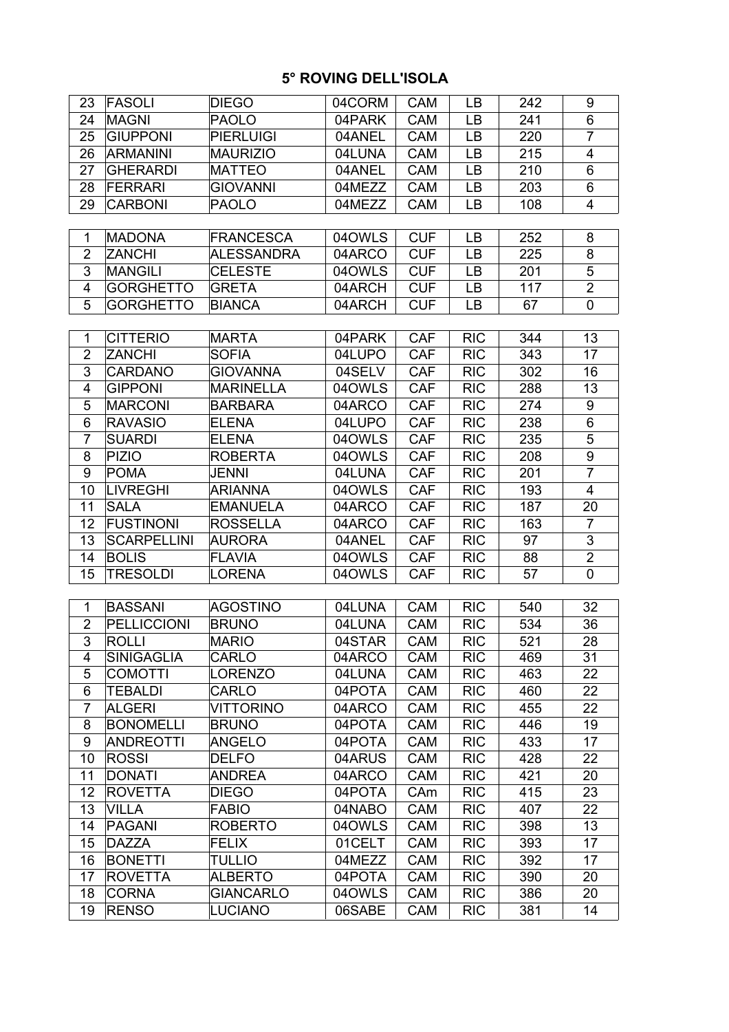| 23             | FASOLI             | <b>DIEGO</b>      | 04CORM | <b>CAM</b> | LB         | 242 | 9                       |
|----------------|--------------------|-------------------|--------|------------|------------|-----|-------------------------|
| 24             | <b>MAGNI</b>       | <b>PAOLO</b>      | 04PARK | <b>CAM</b> | LB         | 241 | $\,6$                   |
| 25             | <b>GIUPPONI</b>    | <b>PIERLUIGI</b>  | 04ANEL | <b>CAM</b> | LB         | 220 | $\overline{7}$          |
| 26             | <b>ARMANINI</b>    | <b>MAURIZIO</b>   | 04LUNA | <b>CAM</b> | LB         | 215 | 4                       |
| 27             | <b>GHERARDI</b>    | <b>MATTEO</b>     | 04ANEL | CAM        | <b>LB</b>  | 210 | 6                       |
| 28             | <b>FERRARI</b>     | <b>GIOVANNI</b>   | 04MEZZ | <b>CAM</b> | LB         | 203 | $\,6$                   |
| 29             | <b>CARBONI</b>     | <b>PAOLO</b>      | 04MEZZ | <b>CAM</b> | LB         | 108 | 4                       |
|                |                    |                   |        |            |            |     |                         |
| 1              | <b>MADONA</b>      | <b>FRANCESCA</b>  | 04OWLS | <b>CUF</b> | LB         | 252 | 8                       |
| $\overline{2}$ | <b>ZANCHI</b>      | <b>ALESSANDRA</b> | 04ARCO | <b>CUF</b> | LB         | 225 | 8                       |
| 3              | MANGILI            | <b>CELESTE</b>    | 04OWLS | <b>CUF</b> | LB         | 201 | $\mathbf 5$             |
| 4              | <b>GORGHETTO</b>   | <b>GRETA</b>      | 04ARCH | <b>CUF</b> | LB         | 117 | $\overline{2}$          |
| 5              | <b>GORGHETTO</b>   | <b>BIANCA</b>     | 04ARCH | <b>CUF</b> | LB         | 67  | $\mathbf 0$             |
|                |                    |                   |        |            |            |     |                         |
| 1              | <b>CITTERIO</b>    | <b>MARTA</b>      | 04PARK | <b>CAF</b> | <b>RIC</b> | 344 | 13                      |
| $\overline{2}$ | <b>ZANCHI</b>      | <b>SOFIA</b>      | 04LUPO | <b>CAF</b> | <b>RIC</b> | 343 | 17                      |
| 3              | <b>CARDANO</b>     | <b>GIOVANNA</b>   | 04SELV | <b>CAF</b> | <b>RIC</b> | 302 | 16                      |
| 4              | <b>GIPPONI</b>     | <b>MARINELLA</b>  | 04OWLS | <b>CAF</b> | <b>RIC</b> | 288 | 13                      |
| 5              | <b>MARCONI</b>     | <b>BARBARA</b>    | 04ARCO | <b>CAF</b> | <b>RIC</b> | 274 | 9                       |
| 6              | <b>RAVASIO</b>     | <b>ELENA</b>      | 04LUPO | <b>CAF</b> | <b>RIC</b> | 238 | $\,6$                   |
| $\overline{7}$ | <b>SUARDI</b>      | <b>ELENA</b>      | 04OWLS | <b>CAF</b> | <b>RIC</b> | 235 | 5                       |
| 8              | PIZIO              | <b>ROBERTA</b>    | 04OWLS | <b>CAF</b> | <b>RIC</b> | 208 | 9                       |
| 9              | POMA               | <b>JENNI</b>      | 04LUNA | <b>CAF</b> | <b>RIC</b> | 201 | $\overline{7}$          |
| 10             | <b>LIVREGHI</b>    | <b>ARIANNA</b>    | 04OWLS | <b>CAF</b> | <b>RIC</b> | 193 | $\overline{\mathbf{4}}$ |
| 11             | <b>SALA</b>        | <b>EMANUELA</b>   | 04ARCO | <b>CAF</b> | <b>RIC</b> | 187 | 20                      |
| 12             | FUSTINONI          | <b>ROSSELLA</b>   | 04ARCO | <b>CAF</b> | <b>RIC</b> | 163 | $\overline{7}$          |
| 13             | <b>SCARPELLINI</b> | <b>AURORA</b>     | 04ANEL | <b>CAF</b> | <b>RIC</b> | 97  | $\mathfrak{S}$          |
| 14             | <b>BOLIS</b>       | <b>FLAVIA</b>     | 04OWLS | <b>CAF</b> | <b>RIC</b> | 88  | $\overline{2}$          |
| 15             | <b>TRESOLDI</b>    | <b>LORENA</b>     | 04OWLS | <b>CAF</b> | <b>RIC</b> | 57  | $\mathbf 0$             |
|                |                    |                   |        |            |            |     |                         |
| $\mathbf 1$    | <b>BASSANI</b>     | <b>AGOSTINO</b>   | 04LUNA | CAM        | <b>RIC</b> | 540 | 32                      |
| $\overline{2}$ | <b>PELLICCIONI</b> | <b>BRUNO</b>      | 04LUNA | <b>CAM</b> | <b>RIC</b> | 534 | 36                      |
| 3              | <b>ROLLI</b>       | <b>MARIO</b>      | 04STAR | CAM        | <b>RIC</b> | 521 | 28                      |
| 4              | <b>SINIGAGLIA</b>  | <b>CARLO</b>      | 04ARCO | <b>CAM</b> | <b>RIC</b> | 469 | 31                      |
| 5              | <b>COMOTTI</b>     | <b>LORENZO</b>    | 04LUNA | <b>CAM</b> | <b>RIC</b> | 463 | 22                      |
| 6              | <b>TEBALDI</b>     | <b>CARLO</b>      | 04POTA | <b>CAM</b> | <b>RIC</b> | 460 | 22                      |
| $\overline{7}$ | <b>ALGERI</b>      | <b>VITTORINO</b>  | 04ARCO | CAM        | <b>RIC</b> | 455 | 22                      |
| 8              | <b>BONOMELLI</b>   | <b>BRUNO</b>      | 04POTA | <b>CAM</b> | <b>RIC</b> | 446 | 19                      |
| 9              | <b>ANDREOTTI</b>   | ANGELO            | 04POTA | <b>CAM</b> | <b>RIC</b> | 433 | 17                      |
| 10             | <b>ROSSI</b>       | <b>DELFO</b>      | 04ARUS | CAM        | <b>RIC</b> | 428 | 22                      |
| 11             | DONATI             | <b>ANDREA</b>     | 04ARCO | CAM        | <b>RIC</b> | 421 | 20                      |
| 12             | <b>ROVETTA</b>     | <b>DIEGO</b>      | 04POTA | CAm        | <b>RIC</b> | 415 | 23                      |
| 13             | <b>VILLA</b>       | <b>FABIO</b>      | 04NABO | <b>CAM</b> | <b>RIC</b> | 407 | 22                      |
| 14             | PAGANI             | <b>ROBERTO</b>    | 04OWLS | CAM        | <b>RIC</b> | 398 | 13                      |
| 15             | DAZZA              | <b>FELIX</b>      | 01CELT | <b>CAM</b> | <b>RIC</b> | 393 | 17                      |
| 16             | <b>BONETTI</b>     | <b>TULLIO</b>     | 04MEZZ | <b>CAM</b> | <b>RIC</b> | 392 | 17                      |
| 17             | <b>ROVETTA</b>     | <b>ALBERTO</b>    | 04POTA | CAM        | <b>RIC</b> | 390 | 20                      |
| 18             | <b>CORNA</b>       | <b>GIANCARLO</b>  | 04OWLS | <b>CAM</b> | <b>RIC</b> | 386 | 20                      |
| 19             | <b>RENSO</b>       | <b>LUCIANO</b>    | 06SABE | <b>CAM</b> | <b>RIC</b> | 381 | 14                      |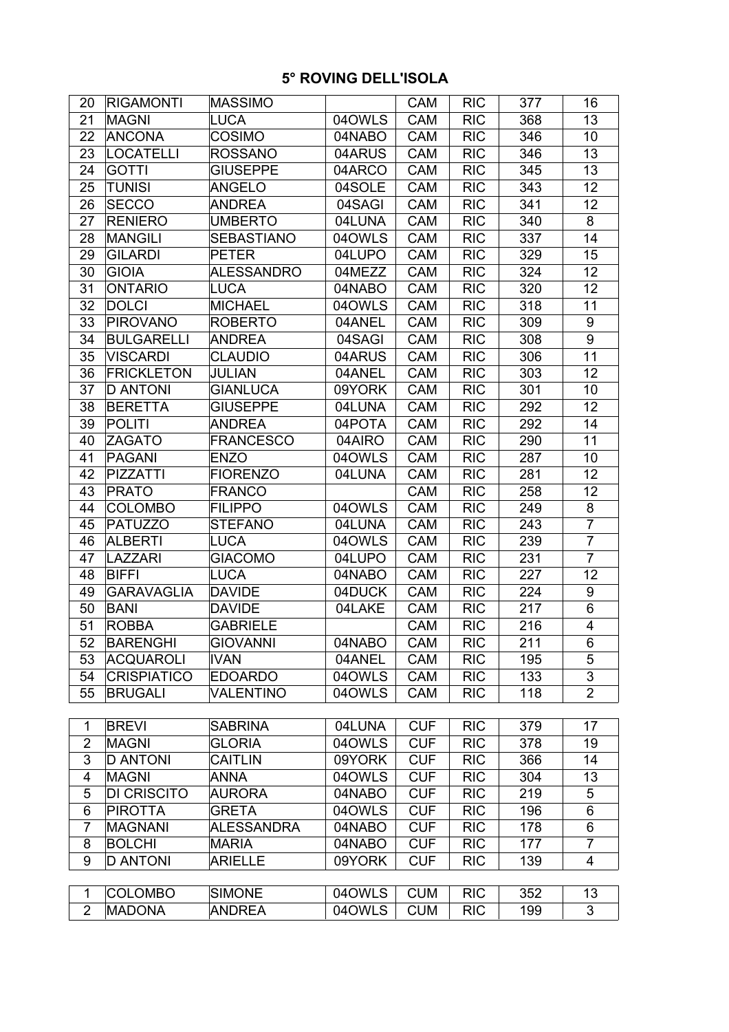| 20             | <b>RIGAMONTI</b>   | MASSIMO           |        | <b>CAM</b> | <b>RIC</b> | 377 | 16             |
|----------------|--------------------|-------------------|--------|------------|------------|-----|----------------|
| 21             | <b>MAGNI</b>       | LUCA              | 04OWLS | <b>CAM</b> | <b>RIC</b> | 368 | 13             |
| 22             | <b>ANCONA</b>      | <b>COSIMO</b>     | 04NABO | CAM        | <b>RIC</b> | 346 | 10             |
| 23             | <b>LOCATELLI</b>   | <b>ROSSANO</b>    | 04ARUS | <b>CAM</b> | <b>RIC</b> | 346 | 13             |
| 24             | <b>GOTTI</b>       | <b>GIUSEPPE</b>   | 04ARCO | CAM        | <b>RIC</b> | 345 | 13             |
| 25             | <b>TUNISI</b>      | <b>ANGELO</b>     | 04SOLE | CAM        | <b>RIC</b> | 343 | 12             |
| 26             | <b>SECCO</b>       | <b>ANDREA</b>     | 04SAGI | CAM        | <b>RIC</b> | 341 | 12             |
| 27             | <b>RENIERO</b>     | <b>UMBERTO</b>    | 04LUNA | CAM        | <b>RIC</b> | 340 | 8              |
| 28             | <b>MANGILI</b>     | <b>SEBASTIANO</b> | 04OWLS | CAM        | <b>RIC</b> | 337 | 14             |
| 29             | <b>GILARDI</b>     | <b>PETER</b>      | 04LUPO | CAM        | <b>RIC</b> | 329 | 15             |
| 30             | <b>GIOIA</b>       | <b>ALESSANDRO</b> | 04MEZZ | CAM        | <b>RIC</b> | 324 | 12             |
| 31             | <b>ONTARIO</b>     | LUCA              | 04NABO | CAM        | <b>RIC</b> | 320 | 12             |
| 32             | <b>DOLCI</b>       | <b>MICHAEL</b>    | 04OWLS | CAM        | <b>RIC</b> | 318 | 11             |
| 33             | <b>PIROVANO</b>    | <b>ROBERTO</b>    | 04ANEL | CAM        | <b>RIC</b> | 309 | 9              |
| 34             | <b>BULGARELLI</b>  | <b>ANDREA</b>     | 04SAGI | CAM        | <b>RIC</b> | 308 | 9              |
| 35             | <b>VISCARDI</b>    | <b>CLAUDIO</b>    | 04ARUS | <b>CAM</b> | <b>RIC</b> | 306 | 11             |
| 36             | <b>FRICKLETON</b>  | <b>JULIAN</b>     | 04ANEL | CAM        | <b>RIC</b> | 303 | 12             |
| 37             | <b>D ANTONI</b>    | <b>GIANLUCA</b>   | 09YORK | CAM        | <b>RIC</b> | 301 | 10             |
| 38             | <b>BERETTA</b>     | <b>GIUSEPPE</b>   | 04LUNA | CAM        | <b>RIC</b> | 292 | 12             |
| 39             | <b>POLITI</b>      | <b>ANDREA</b>     | 04POTA | CAM        | <b>RIC</b> | 292 | 14             |
| 40             | <b>ZAGATO</b>      | <b>FRANCESCO</b>  | 04AIRO | <b>CAM</b> | <b>RIC</b> | 290 | 11             |
| 41             | <b>PAGANI</b>      | <b>ENZO</b>       | 04OWLS | CAM        | <b>RIC</b> | 287 | 10             |
| 42             | <b>PIZZATTI</b>    | <b>FIORENZO</b>   | 04LUNA | CAM        | <b>RIC</b> | 281 | 12             |
| 43             | <b>PRATO</b>       | <b>FRANCO</b>     |        | <b>CAM</b> | <b>RIC</b> | 258 | 12             |
| 44             | <b>COLOMBO</b>     | <b>FILIPPO</b>    | 04OWLS | CAM        | <b>RIC</b> | 249 | 8              |
| 45             | <b>PATUZZO</b>     | <b>STEFANO</b>    | 04LUNA | CAM        | <b>RIC</b> | 243 | $\overline{7}$ |
| 46             | <b>ALBERTI</b>     | <b>LUCA</b>       | 04OWLS | CAM        | <b>RIC</b> | 239 | $\overline{7}$ |
| 47             | <b>LAZZARI</b>     | <b>GIACOMO</b>    | 04LUPO | CAM        | <b>RIC</b> | 231 | $\overline{7}$ |
| 48             | <b>BIFFI</b>       | LUCA              | 04NABO | CAM        | <b>RIC</b> | 227 | 12             |
| 49             | <b>GARAVAGLIA</b>  | <b>DAVIDE</b>     | 04DUCK | CAM        | <b>RIC</b> | 224 | 9              |
| 50             | <b>BANI</b>        | <b>DAVIDE</b>     | 04LAKE | <b>CAM</b> | <b>RIC</b> | 217 | 6              |
| 51             | <b>ROBBA</b>       | <b>GABRIELE</b>   |        | CAM        | <b>RIC</b> | 216 | 4              |
| 52             | <b>BARENGHI</b>    | <b>GIOVANNI</b>   | 04NABO | CAM        | <b>RIC</b> | 211 | 6              |
| 53             | <b>ACQUAROLI</b>   | <b>IVAN</b>       | 04ANEL | <b>CAM</b> | <b>RIC</b> | 195 | 5              |
| 54             | <b>CRISPIATICO</b> | <b>EDOARDO</b>    | 04OWLS | CAM        | <b>RIC</b> | 133 | 3              |
| 55             | <b>BRUGALI</b>     | <b>VALENTINO</b>  | 04OWLS | CAM        | <b>RIC</b> | 118 | $\overline{2}$ |
|                |                    |                   |        |            |            |     |                |
| 1              | <b>BREVI</b>       | <b>SABRINA</b>    | 04LUNA | <b>CUF</b> | <b>RIC</b> | 379 | 17             |
| $\overline{2}$ | <b>MAGNI</b>       | <b>GLORIA</b>     | 04OWLS | <b>CUF</b> | <b>RIC</b> | 378 | 19             |
| 3              | <b>D ANTONI</b>    | <b>CAITLIN</b>    | 09YORK | <b>CUF</b> | <b>RIC</b> | 366 | 14             |
| 4              | <b>MAGNI</b>       | <b>ANNA</b>       | 04OWLS | <b>CUF</b> | <b>RIC</b> | 304 | 13             |
| 5              | <b>DI CRISCITO</b> | <b>AURORA</b>     | 04NABO | <b>CUF</b> | <b>RIC</b> | 219 | 5              |
| 6              | <b>PIROTTA</b>     | <b>GRETA</b>      | 04OWLS | <b>CUF</b> | <b>RIC</b> | 196 | 6              |
| $\overline{7}$ | <b>MAGNANI</b>     | <b>ALESSANDRA</b> | 04NABO | <b>CUF</b> | <b>RIC</b> | 178 | 6              |
| 8              | <b>BOLCHI</b>      | <b>MARIA</b>      | 04NABO | <b>CUF</b> | <b>RIC</b> | 177 | $\overline{7}$ |
| 9              | <b>D ANTONI</b>    | <b>ARIELLE</b>    | 09YORK | <b>CUF</b> | <b>RIC</b> | 139 | 4              |
|                |                    |                   |        |            |            |     |                |
| $\mathbf{1}$   | <b>COLOMBO</b>     | <b>SIMONE</b>     | 04OWLS | <b>CUM</b> | <b>RIC</b> | 352 | 13             |
| $\overline{2}$ | <b>MADONA</b>      | <b>ANDREA</b>     | 04OWLS | <b>CUM</b> | <b>RIC</b> | 199 | 3              |